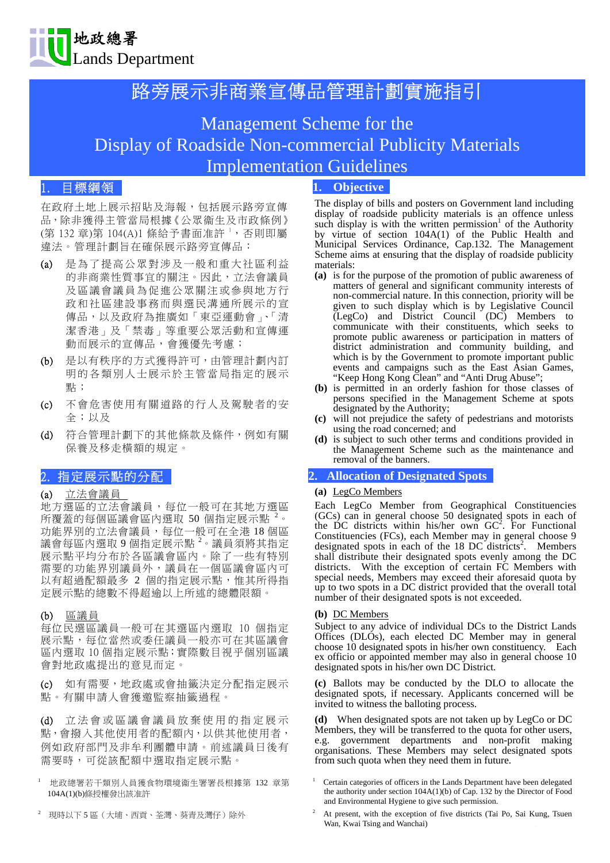

# 路旁展示非商業宣傳品管理計劃實施指引

# Management Scheme for the Display of Roadside Non-commercial Publicity Materials Implementation Guidelines

# 1. 目標綱領

在政府土地上展示招貼及海報,包括展示路旁宣傳 品,除非獲得主管當局根據《公眾衞生及市政條例》 (第 132 章)第 104(A)1 條給予書面准許 ',否則即屬 違法。管理計劃旨在確保展示路旁宣傳品:

- (a) 是為了提高公眾對涉及一般和重大社區利益 的非商業性質事宜的關注。因此,立法會議員 及區議會議員為促進公眾關注或參與地方行 政和社區建設事務而與選民溝通所展示的宣 傳品,以及政府為推廣如「東亞運動會」、「清 潔香港」及「禁毒」等重要公眾活動和宣傳運 動而展示的宣傳品,會獲優先考慮;
- (b) 是以有秩序的方式獲得許可,由管理計劃內訂 明的各類別人士展示於主管當局指定的展示 點;
- (c) 不會危害使用有關道路的行人及駕駛者的安 全;以及
- (d) 符合管理計劃下的其他條款及條件,例如有關 保養及移走橫額的規定。

# 2. 指定展示點的分配

### (a) 立法會議員

地方選區的立法會議員,每位一般可在其地方選區 所覆蓋的每個區議會區內選取 50 個指定展示點 2。 功能界別的立法會議員,每位一般可在全港18個區 議會每區內選取 9 個指定展示點 <sup>2</sup>。議員須將其指定 展示點平均分布於各區議會區內。除了一些有特別 需要的功能界別議員外,議員在一個區議會區內可 以有超過配額最多 2 個的指定展示點,惟其所得指 定展示點的總數不得超逾以上所述的總體限額。

#### (b) 區議員

每位民選區議員一般可在其選區內選取 10 個指定 展示點,每位當然或委任議員一般亦可在其區議會 區內選取 10 個指定展示點;實際數目視乎個別區議 會對地政處提出的意見而定。

(c) 如有需要,地政處或會抽籤決定分配指定展示 點。有關申請人會獲邀監察抽籤過程。

(d) 立法會或區議會議員放棄使用的指定展示 點,會撥入其他使用者的配額內,以供其他使用者, 例如政府部門及非牟利團體申請。前述議員日後有 需要時,可從該配額中選取指定展示點。

- 1 地政總署若干類別人員獲食物環境衞生署署長根據第 132 章第 104A(1)(b)條授權發出該准許
- 2 現時以下 5 區(大埔、西貢、荃灣、葵青及灣仔)除外

## **1. Objective**

The display of bills and posters on Government land including display of roadside publicity materials is an offence unless such display is with the written permission<sup>1</sup> of the Authority by virtue of section 104A(1) of the Public Health and Municipal Services Ordinance, Cap.132. The Management Scheme aims at ensuring that the display of roadside publicity materials:

- **(a)** is for the purpose of the promotion of public awareness of matters of general and significant community interests of non-commercial nature. In this connection, priority will be given to such display which is by Legislative Council (LegCo) and District Council (DC) Members to communicate with their constituents, which seeks to promote public awareness or participation in matters of district administration and community building, and which is by the Government to promote important public events and campaigns such as the East Asian Games, "Keep Hong Kong Clean" and "Anti Drug Abuse";
- **(b)** is permitted in an orderly fashion for those classes of persons specified in the Management Scheme at spots designated by the Authority;
- **(c)** will not prejudice the safety of pedestrians and motorists using the road concerned; and
- **(d)** is subject to such other terms and conditions provided in the Management Scheme such as the maintenance and removal of the banners.

#### **2. Allocation of Designated Spots**

#### **(a)** LegCo Members

Each LegCo Member from Geographical Constituencies (GCs) can in general choose 50 designated spots in each of the DC districts within his/her own  $GC^2$ . For Functional Constituencies (FCs), each Member may in general choose 9 designated spots in each of the 18 DC districts<sup>2</sup>. Members shall distribute their designated spots evenly among the DC districts. With the exception of certain FC Members with special needs, Members may exceed their aforesaid quota by up to two spots in a DC district provided that the overall total number of their designated spots is not exceeded.

#### **(b)** DC Members

Subject to any advice of individual DCs to the District Lands Offices (DLOs), each elected DC Member may in general choose 10 designated spots in his/her own constituency. Each ex officio or appointed member may also in general choose 10 designated spots in his/her own DC District.

**(c)** Ballots may be conducted by the DLO to allocate the designated spots, if necessary. Applicants concerned will be invited to witness the balloting process.

**(d)** When designated spots are not taken up by LegCo or DC Members, they will be transferred to the quota for other users, e.g. government departments and non-profit making organisations. These Members may select designated spots from such quota when they need them in future.

- 1 Certain categories of officers in the Lands Department have been delegated the authority under section 104A(1)(b) of Cap. 132 by the Director of Food and Environmental Hygiene to give such permission.
- 2 At present, with the exception of five districts (Tai Po, Sai Kung, Tsuen Wan, Kwai Tsing and Wanchai)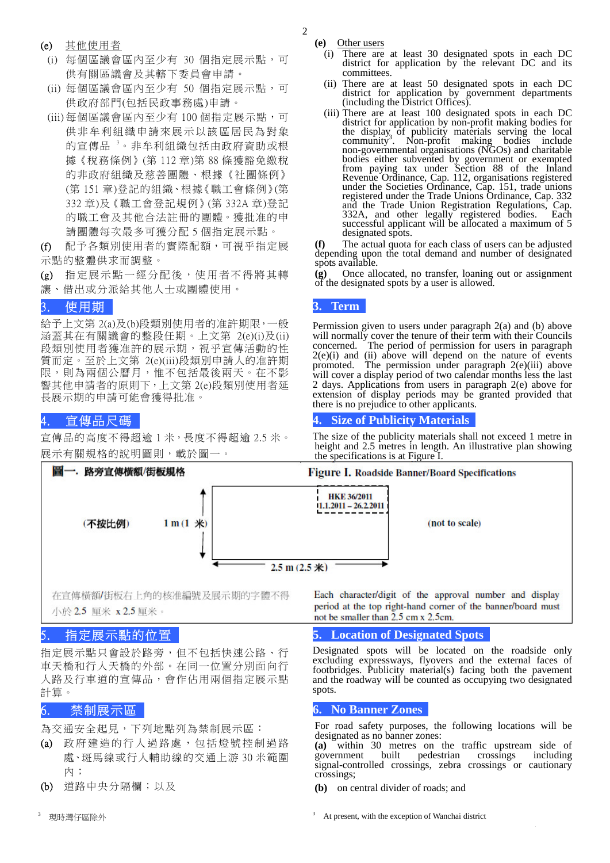2

- (e) 其他使用者
- (i) 每個區議會區內至少有 30 個指定展示點,可 供有關區議會及其轄下委員會申請。
- (ii) 每個區議會區內至少有 50 個指定展示點,可 供政府部門(包括民政事務處)申請。
- (iii) 每個區議會區內至少有 100 個指定展示點,可 供非牟利組織申請來展示以該區居民為對象 的宣傳品 3。非牟利組織包括由政府資助或根 據《稅務條例》(第 112 章)第 88 條獲豁免繳稅 的非政府組織及慈善團體、根據《社團條例》 (第 151 章)登記的組織、根據《職工會條例》(第 332 章)及《職工會登記規例》(第 332A 章)登記 的職工會及其他合法註冊的團體。獲批准的申 請團體每次最多可獲分配 5 個指定展示點。

(f) 配予各類別使用者的實際配額,可視乎指定展 示點的整體供求而調整。

(g) 指定展示點一經分配後,使用者不得將其轉 讓、借出或分派給其他人士或團體使用。

# 3. 使用期

給予上文第 2(a)及(b)段類別使用者的准許期限,一般 涵蓋其在有關議會的整段任期。上文第 2(e)(i)及(ii) 段類別使用者獲准許的展示期,視乎宣傳活動的性 質而定。至於上文第 2(e)(iii)段類別申請人的准許期 限,則為兩個公曆月,惟不包括最後兩天。在不影 響其他申請者的原則下,上文第 2(e)段類別使用者延 長展示期的申請可能會獲得批准。

# 4. 宣傳品尺碼

宣傳品的高度不得超逾 1 米,長度不得超逾 2.5 米。



在宣傳橫額/街板右上角的核准編號及展示期的字體不得 小於 2.5 厘米 x 2.5 厘米。

# 5. 指定展示點的位置

指定展示點只會設於路旁,但不包括快速公路、行 車天橋和行人天橋的外部。在同一位置分別面向行 人路及行車道的宣傳品,會作佔用兩個指定展示點 計算。

# 6. 禁制展示區

為交通安全起見,下列地點列為禁制展示區:

- (a) 政府建造的行人過路處,包括燈號控制過路 處、斑馬線或行人輔助線的交通上游 30 米範圍 內;
- (b) 道路中央分隔欄;以及
- 3 現時灣仔區除外

**(e)** Other users

- (i) There are at least 30 designated spots in each DC district for application by the relevant DC and its committees.
- (ii) There are at least 50 designated spots in each DC district for application by government departments (including the District Offices).
- (iii) There are at least 100 designated spots in each DC district for application by non-profit making bodies for the display of publicity materials serving the local community<sup>3</sup>. Non-profit making bodies include . Non-profit making bodies include non-governmental organisations (NGOs) and charitable bodies either subvented by government or exempted from paying tax under Section 88 of the Inland Revenue Ordinance, Cap. 112, organisations registered under the Societies Ordinance, Cap. 151, trade unions registered under the Trade Unions Ordinance, Cap. 332 and the Trade Union Registration Regulations, Cap. 332A, and other legally registered bodies. Each 332A, and other legally registered bodies. Each successful applicant will be allocated a maximum of 5 designated spots.

**(f)** The actual quota for each class of users can be adjusted depending upon the total demand and number of designated spots available.

**(g)** Once allocated, no transfer, loaning out or assignment of the designated spots by a user is allowed.

## **3. Term**

Permission given to users under paragraph 2(a) and (b) above will normally cover the tenure of their term with their Councils concerned. The period of permission for users in paragraph  $2(e)(i)$  and (ii) above will depend on the nature of events promoted. The permission under paragraph 2(e)(iii) above will cover a display period of two calendar months less the last 2 days. Applications from users in paragraph 2(e) above for extension of display periods may be granted provided that there is no prejudice to other applicants.

## **4. Size of Publicity Materials**

The size of the publicity materials shall not exceed 1 metre in height and 2.5 metres in length. An illustrative plan showing

### Figure I. Roadside Banner/Board Specifications

Each character/digit of the approval number and display period at the top right-hand corner of the banner/board must not be smaller than 2.5 cm x 2.5cm.

## **5. Location of Designated Spots**

Designated spots will be located on the roadside only excluding expressways, flyovers and the external faces of footbridges. Publicity material(s) facing both the pavement and the roadway will be counted as occupying two designated spots.

#### **6. No Banner Zones**

For road safety purposes, the following locations will be designated as no banner zones:

**(a)** within 30 metres on the traffic upstream side of government built pedestrian crossings including signal-controlled crossings, zebra crossings or cautionary crossings;

**(b)** on central divider of roads; and

3 At present, with the exception of Wanchai district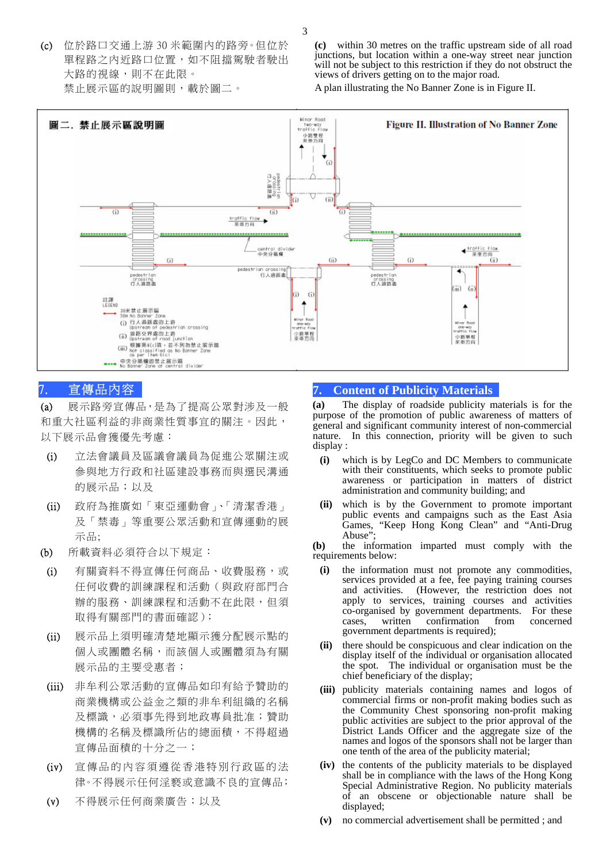(c) 位於路口交通上游 30 米範圍內的路旁。但位於 單程路之內近路口位置,如不阻擋駕駛者駛出 大路的視線,則不在此限。 禁止展示區的說明圖則,載於圖二。

**(c)** within 30 metres on the traffic upstream side of all road junctions, but location within a one-way street near junction will not be subject to this restriction if they do not obstruct the views of drivers getting on to the major road.

A plan illustrating the No Banner Zone is in Figure II.



# 7. 宣傳品內容

(a) 展示路旁宣傳品,是為了提高公眾對涉及一般 和重大社區利益的非商業性質事宜的關注。因此, 以下展示品會獲優先考慮:

- (i) 立法會議員及區議會議員為促進公眾關注或 參與地方行政和社區建設事務而與選民溝通 的展示品;以及
- (ii) 政府為推廣如「東亞運動會」、「清潔香港」 及「禁毒」等重要公眾活動和宣傳運動的展 示品;
- (b) 所載資料必須符合以下規定:
- (i) 有關資料不得宣傳任何商品、收費服務,或 任何收費的訓練課程和活動(與政府部門合 辦的服務、訓練課程和活動不在此限,但須 取得有關部門的書面確認);
- (ii) 展示品上須明確清楚地顯示獲分配展示點的 個人或團體名稱,而該個人或團體須為有關 展示品的主要受惠者;
- (iii) 非牟利公眾活動的宣傳品如印有給予贊助的 商業機構或公益金之類的非牟利組織的名稱 及標識,必須事先得到地政專員批准;贊助 機構的名稱及標識所佔的總面積,不得超過 宣傳品面積的十分之一;
- (iv) 宣傳品的內容須遵從香港特別行政區的法 律。不得展示任何淫褻或意識不良的宣傳品;
- (v) 不得展示任何商業廣告;以及

## **7. Content of Publicity Materials**

**(a)** The display of roadside publicity materials is for the purpose of the promotion of public awareness of matters of general and significant community interest of non-commercial nature. In this connection, priority will be given to such display :

- **(i)** which is by LegCo and DC Members to communicate with their constituents, which seeks to promote public awareness or participation in matters of district administration and community building; and
- **(ii)** which is by the Government to promote important public events and campaigns such as the East Asia Games, "Keep Hong Kong Clean" and "Anti-Drug Abuse'

**(b)** the information imparted must comply with the requirements below:

- **(i)** the information must not promote any commodities, services provided at a fee, fee paying training courses and activities. (However, the restriction does not apply to services, training courses and activities co-organised by government departments. For these cases, written confirmation government departments is required);
- **(ii)** there should be conspicuous and clear indication on the display itself of the individual or organisation allocated the spot. The individual or organisation must be the chief beneficiary of the display;
- **(iii)** publicity materials containing names and logos of commercial firms or non-profit making bodies such as the Community Chest sponsoring non-profit making public activities are subject to the prior approval of the District Lands Officer and the aggregate size of the names and logos of the sponsors shall not be larger than one tenth of the area of the publicity material;
- **(iv)** the contents of the publicity materials to be displayed shall be in compliance with the laws of the Hong Kong Special Administrative Region. No publicity materials of an obscene or objectionable nature shall be displayed;
- **(v)** no commercial advertisement shall be permitted ; and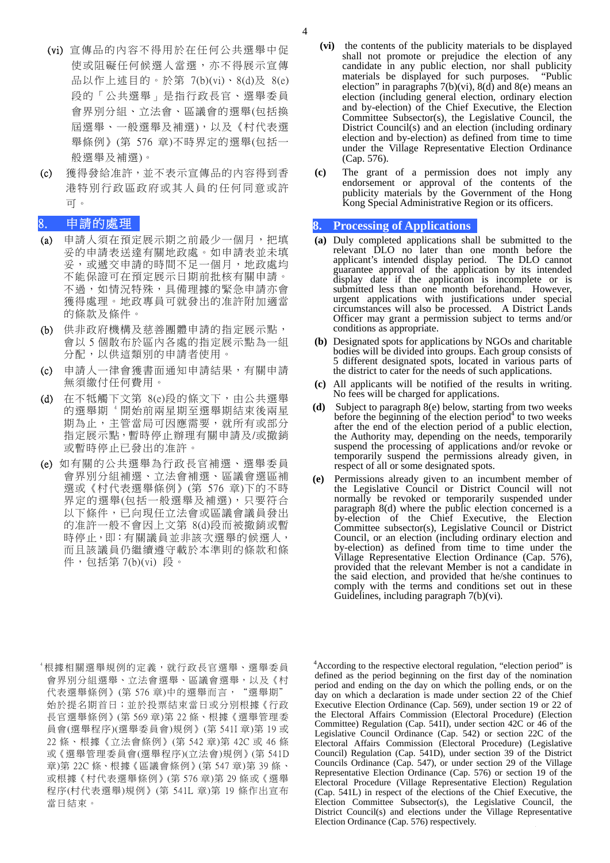- (vi) 宣傳品的內容不得用於在任何公共選舉中促 使或阻礙任何候選人當選,亦不得展示宣傳 品以作上述目的。於第 7(b)(vi)、8(d)及 8(e) 段的「公共選舉」是指行政長官、選舉委員 會界別分組、立法會、區議會的選舉(包括換 屆選舉、一般選舉及補選),以及《村代表選 舉條例》(第 576 章)不時界定的選舉(包括一 般選舉及補選)。
- (c) 獲得發給准許,並不表示宣傳品的內容得到香 港特別行政區政府或其人員的任何同意或許 可。

## 8. 申請的處理

- (a) 申請人須在預定展示期之前最少一個月,把填 妥的申請表送達有關地政處。如申請表並未填 妥,或遞交申請的時間不足一個月,地政處均 不能保證可在預定展示日期前批核有關申請。 不過,如情況特殊,具備理據的緊急申請亦會 獲得處理。地政專員可就發出的准許附加適當 的條款及條件。
- (b) 供非政府機構及慈善團體申請的指定展示點, 會以 5 個散布於區內各處的指定展示點為一組 分配,以供這類別的申請者使用。
- (c) 申請人一律會獲書面通知申請結果,有關申請 無須繳付任何費用。
- (d) 在不牴觸下文第 8(e)段的條文下,由公共選舉 的選舉期 <sup>4</sup> 開始前兩星期至選舉期結束後兩星 期為止,主管當局可因應需要,就所有或部分 指定展示點,暫時停止辦理有關申請及/或撤銷 或暫時停止已發出的准許。
- (e) 如有關的公共選舉為行政長官補選、選舉委員 會界別分組補選、立法會補選、區議會選區補 選或《村代表選舉條例》(第 576 章)下的不時 界定的選舉(包括一般選舉及補選),只要符合 以下條件,已向現任立法會或區議會議員發出 的准許一般不會因上文第 8(d)段而被撤銷或暫 時停止,即:有關議員並非該次選舉的候選人, 而且該議員仍繼續遵守載於本準則的條款和條 件,包括第 7(b)(vi) 段。
- **(vi)** the contents of the publicity materials to be displayed shall not promote or prejudice the election of any candidate in any public election, nor shall publicity materials be displayed for such purposes. "Public election" in paragraphs  $7(b)(vi)$ ,  $8(d)$  and  $8(e)$  means an election (including general election, ordinary election and by-election) of the Chief Executive, the Election Committee Subsector(s), the Legislative Council, the District Council(s) and an election (including ordinary election and by-election) as defined from time to time under the Village Representative Election Ordinance (Cap. 576).
- **(c)** The grant of a permission does not imply any endorsement or approval of the contents of the publicity materials by the Government of the Hong Kong Special Administrative Region or its officers.

#### **8. Processing of Applications**

- **(a)** Duly completed applications shall be submitted to the relevant DLO no later than one month before the applicant's intended display period. The DLO cannot guarantee approval of the application by its intended display date if the application is incomplete or is submitted less than one month beforehand. However, urgent applications with justifications under special circumstances will also be processed. A District Lands Officer may grant a permission subject to terms and/or conditions as appropriate.
- **(b)** Designated spots for applications by NGOs and charitable bodies will be divided into groups. Each group consists of 5 different designated spots, located in various parts of the district to cater for the needs of such applications.
- **(c)** All applicants will be notified of the results in writing. No fees will be charged for applications.
- **(d)** Subject to paragraph 8(e) below, starting from two weeks before the beginning of the election period $4$  to two weeks after the end of the election period of a public election, the Authority may, depending on the needs, temporarily suspend the processing of applications and/or revoke or temporarily suspend the permissions already given, in respect of all or some designated spots.
- **(e)** Permissions already given to an incumbent member of the Legislative Council or District Council will not normally be revoked or temporarily suspended under paragraph 8(d) where the public election concerned is a by-election of the Chief Executive, the Election Committee subsector(s), Legislative Council or District Council, or an election (including ordinary election and by-election) as defined from time to time under the Village Representative Election Ordinance (Cap. 576), provided that the relevant Member is not a candidate in the said election, and provided that he/she continues to comply with the terms and conditions set out in these Guidelines, including paragraph 7(b)(vi).
- 4 根據相關選舉規例的定義,就行政長官選舉、選舉委員 會界別分組選舉、立法會選舉、區議會選舉,以及《村 代表選舉條例》(第 576章)中的選舉而言, "選舉期" 始於提名期首日;並於投票結束當日或分別根據《行政 長官選舉條例》(第 569 章)第 22 條、根據《選舉管理委 員會(選舉程序)(選舉委員會)規例》(第 541I 章)第 19 或 22 條、根據《立法會條例》(第 542 章)第 42C 或 46 條 或《選舉管理委員會(選舉程序)(立法會)規例》(第 541D 章)第 22C 條、根據《區議會條例》(第 547 章)第 39 條、 或根據《村代表選舉條例》(第 576 章)第 29 條或《選舉 程序(村代表選舉)規例》(第 541L 章)第 19 條作出宣布 當日結束。

<sup>4</sup> According to the respective electoral regulation, "election period" is defined as the period beginning on the first day of the nomination period and ending on the day on which the polling ends, or on the day on which a declaration is made under section 22 of the Chief Executive Election Ordinance (Cap. 569), under section 19 or 22 of the Electoral Affairs Commission (Electoral Procedure) (Election Committee) Regulation (Cap. 541I), under section 42C or 46 of the Legislative Council Ordinance (Cap. 542) or section 22C of the Electoral Affairs Commission (Electoral Procedure) (Legislative Council) Regulation (Cap. 541D), under section 39 of the District Councils Ordinance (Cap. 547), or under section 29 of the Village Representative Election Ordinance (Cap. 576) or section 19 of the Electoral Procedure (Village Representative Election) Regulation (Cap. 541L) in respect of the elections of the Chief Executive, the Election Committee Subsector(s), the Legislative Council, the District Council(s) and elections under the Village Representative Election Ordinance (Cap. 576) respectively.